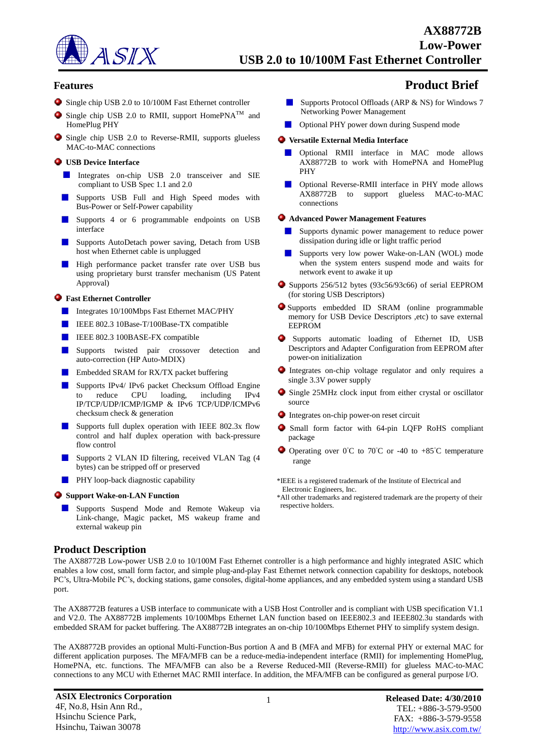

### **Features Product Brief**

- Single chip USB 2.0 to 10/100M Fast Ethernet controller
- $\bullet$  Single chip USB 2.0 to RMII, support HomePNA<sup>TM</sup> and HomePlug PHY
- Single chip USB 2.0 to Reverse-RMII, supports glueless MAC-to-MAC connections

#### **USB Device Interface**

- Integrates on-chip USB 2.0 transceiver and SIE compliant to USB Spec 1.1 and 2.0
- Supports USB Full and High Speed modes with Bus-Power or Self-Power capability
- Supports 4 or 6 programmable endpoints on USB interface
- Supports AutoDetach power saving, Detach from USB **STAR** host when Ethernet cable is unplugged
- High performance packet transfer rate over USB bus using proprietary burst transfer mechanism (US Patent Approval)

#### **Fast Ethernet Controller**

- Integrates 10/100Mbps Fast Ethernet MAC/PHY
- IEEE 802.3 10Base-T/100Base-TX compatible
- **IEEE 802.3 100BASE-FX compatible**
- Supports twisted pair crossover detection and auto-correction (HP Auto-MDIX)
- **Embedded SRAM for RX/TX packet buffering**
- Supports IPv4/ IPv6 packet Checksum Offload Engine to reduce CPU loading, including IPv4 IP/TCP/UDP/ICMP/IGMP & IPv6 TCP/UDP/ICMPv6 checksum check & generation
- Supports full duplex operation with IEEE 802.3x flow control and half duplex operation with back-pressure flow control
- Supports 2 VLAN ID filtering, received VLAN Tag (4 bytes) can be stripped off or preserved
- **PHY** loop-back diagnostic capability

#### **Support Wake-on-LAN Function**

Supports Suspend Mode and Remote Wakeup via Link-change, Magic packet, MS wakeup frame and external wakeup pin

### **Product Description**

- Supports Protocol Offloads (ARP & NS) for Windows 7 Networking Power Management
- **Optional PHY power down during Suspend mode**

#### **Versatile External Media Interface**

- Optional RMII interface in MAC mode allows AX88772B to work with HomePNA and HomePlug PHY
- Optional Reverse-RMII interface in PHY mode allows AX88772B to support glueless MAC-to-MAC connections

#### **Advanced Power Management Features**

- Supports dynamic power management to reduce power dissipation during idle or light traffic period
- Supports very low power Wake-on-LAN (WOL) mode when the system enters suspend mode and waits for network event to awake it up
- Supports 256/512 bytes (93c56/93c66) of serial EEPROM (for storing USB Descriptors)
- Supports embedded ID SRAM (online programmable memory for USB Device Descriptors ,etc) to save external EEPROM
- Supports automatic loading of Ethernet ID, USB Descriptors and Adapter Configuration from EEPROM after power-on initialization
- Integrates on-chip voltage regulator and only requires a single 3.3V power supply
- Single 25MHz clock input from either crystal or oscillator ۰ source
- Integrates on-chip power-on reset circuit
- Small form factor with 64-pin LQFP RoHS compliant package
- $\bullet$  Operating over 0°C to 70°C or -40 to +85°C temperature range

\*IEEE is a registered trademark of the Institute of Electrical and Electronic Engineers, Inc.

\*All other trademarks and registered trademark are the property of their respective holders.

The AX88772B Low-power USB 2.0 to 10/100M Fast Ethernet controller is a high performance and highly integrated ASIC which enables a low cost, small form factor, and simple plug-and-play Fast Ethernet network connection capability for desktops, notebook PC's, Ultra-Mobile PC's, docking stations, game consoles, digital-home appliances, and any embedded system using a standard USB port.

The AX88772B features a USB interface to communicate with a USB Host Controller and is compliant with USB specification V1.1 and V2.0. The AX88772B implements 10/100Mbps Ethernet LAN function based on IEEE802.3 and IEEE802.3u standards with embedded SRAM for packet buffering. The AX88772B integrates an on-chip 10/100Mbps Ethernet PHY to simplify system design.

The AX88772B provides an optional Multi-Function-Bus portion A and B (MFA and MFB) for external PHY or external MAC for different application purposes. The MFA/MFB can be a reduce-media-independent interface (RMII) for implementing HomePlug, HomePNA, etc. functions. The MFA/MFB can also be a Reverse Reduced-MII (Reverse-RMII) for glueless MAC-to-MAC connections to any MCU with Ethernet MAC RMII interface. In addition, the MFA/MFB can be configured as general purpose I/O.